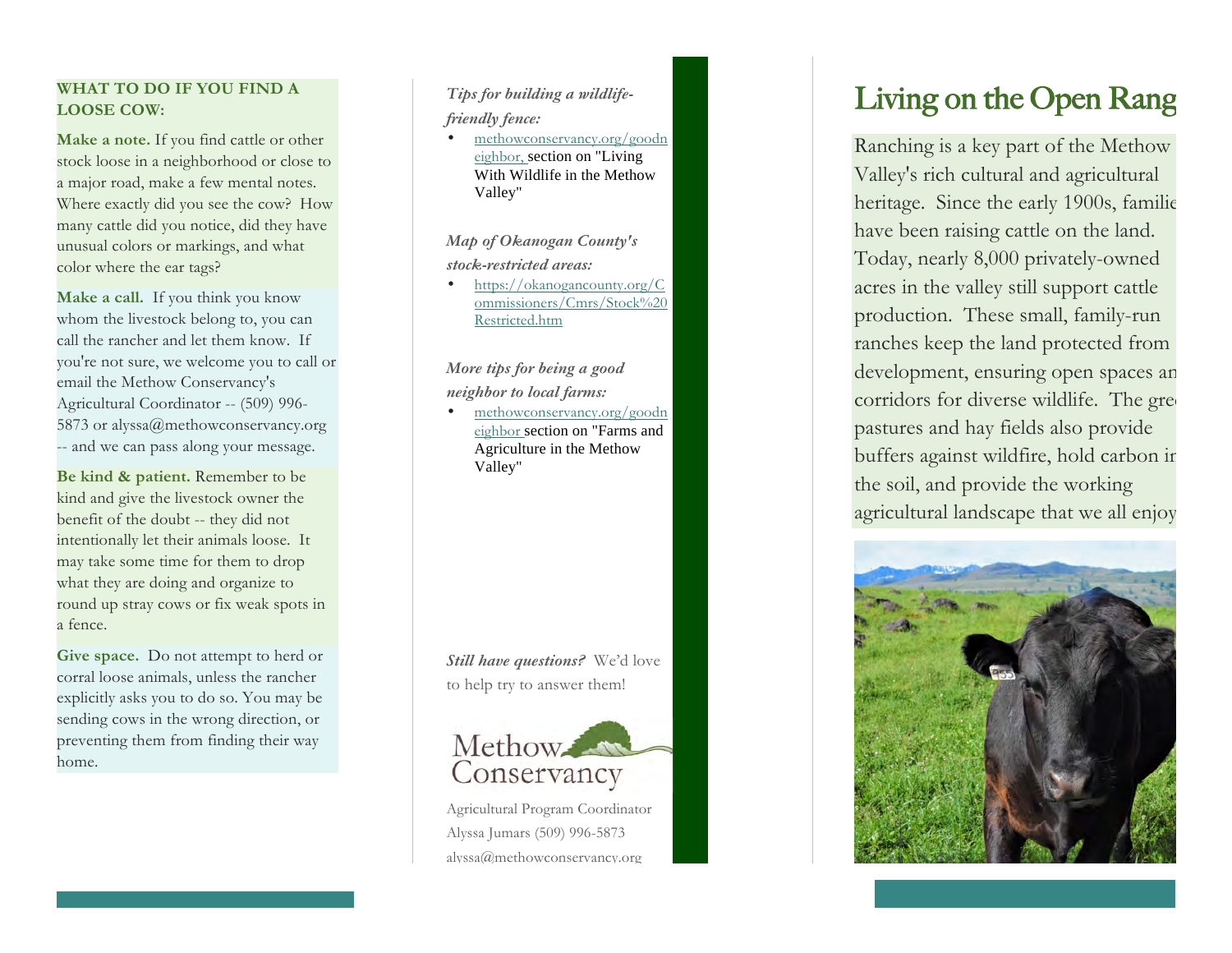## **WHAT TO DO IF YOU FIND A LOOSE COW:**

**Make a note.** If you find cattle or other stock loose in a neighborhood or close to a major road, make a few mental notes. Where exactly did you see the cow? How many cattle did you notice, did they have unusual colors or markings, and what color where the ear tags?

**Make a call.** If you think you know whom the livestock belong to, you can call the rancher and let them know. If you're not sure, we welcome you to call or email the Methow Conservancy's Agricultural Coordinator -- (509) 996 - 5873 or alyssa@methowconservancy.org -- and we can pass along your message.

**Be kind & patient.** Remember to be kind and give the livestock owner the benefit of the doubt -- they did not intentionally let their animals loose. It may take some time for them to drop what they are doing and organize to round up stray cows or fix weak spots in a fence.

**Give space.** Do not attempt to herd or corral loose animals, unless the rancher explicitly asks you to do so. You may be sending cows in the wrong direction, or preventing them from finding their way home.

*Tips for building a wildlife friendly fence:* 

• [methowconservancy.org/good](https://methowconservancy.org/goodneighbor)n [eighbor](https://methowconservancy.org/goodneighbor), section on "Living With Wildlife in the Methow Valley "

*Map of Okanogan County's stock -restricted areas:* 

• [https://okanogancounty.org/](https://okanogancounty.org/Commissioners/Cmrs/Stock Restricted.htm)C [ommissioners/Cmrs/Stock%2](https://okanogancounty.org/Commissioners/Cmrs/Stock Restricted.htm)0 [Restricted.htm](https://okanogancounty.org/Commissioners/Cmrs/Stock Restricted.htm)

*More tips for being a good neighbor to local farms:*

• [methowconservancy.org/good](https://methowconservancy.org/goodneighbor)n [eighbor](https://methowconservancy.org/goodneighbor) section on "Farms and Agriculture in the Methow Valley "

*Still have questions?* We'd love to help try to answer them !



Agricultural Program Coordinator Alyssa Jumars (509) 996 -5873 alyssa@methowconservancy.org

# Living on the Open Rang

Ranching is a key part of the Methow Valley's rich cultural and agricultural heritage. Since the early 1900s, familie have been raising cattle on the land. Today, nearly 8,000 privately -owned acres in the valley still support cattle production. These small, family -run ranches keep the land protected from development, ensuring open spaces an corridors for diverse wildlife. The green pastures and hay fields also provide buffers against wildfire, hold carbon in the soil, and provide the working agricultural landscape that we all enjoy.



*As a good neighbor to working ranches,*